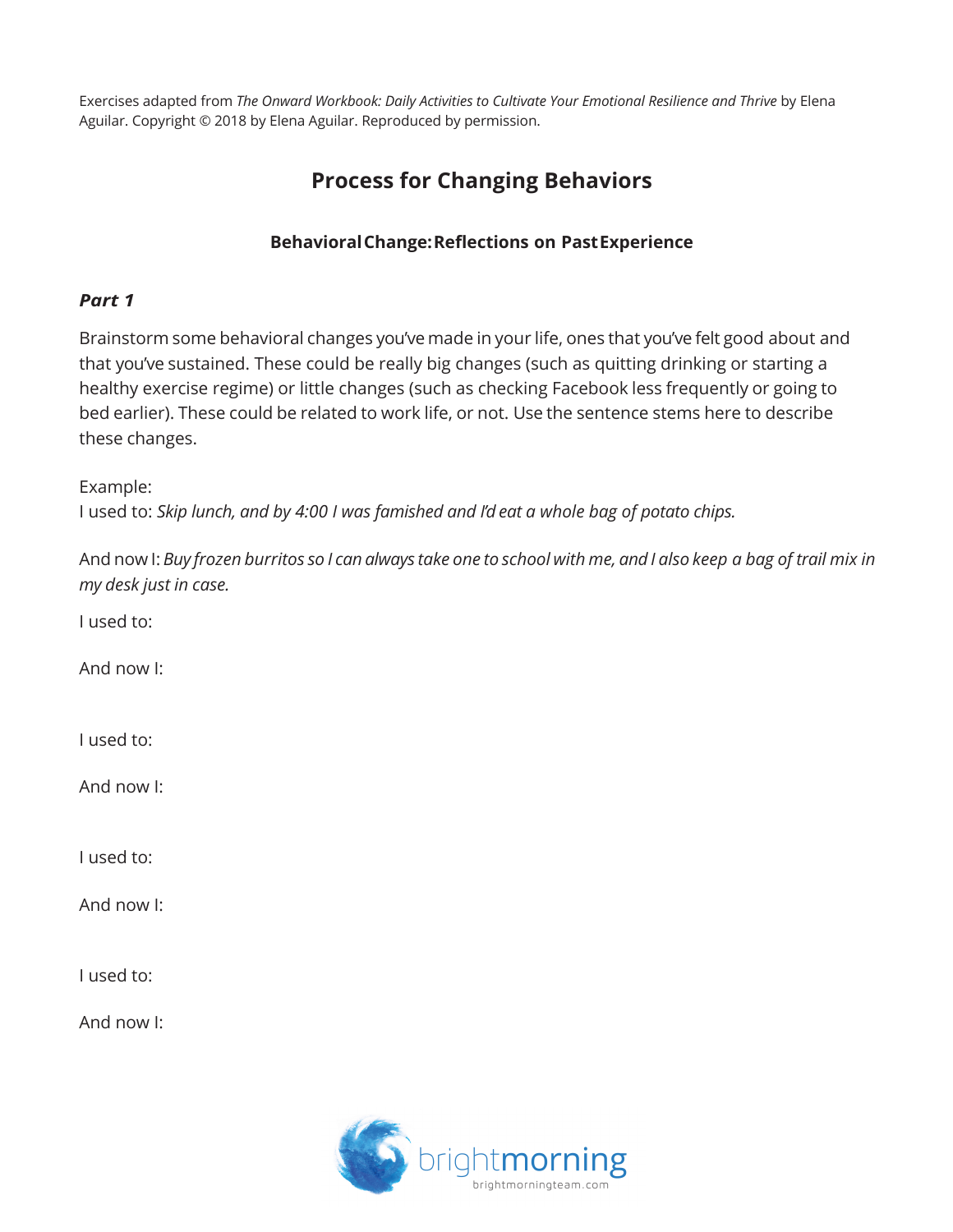Exercises adapted from *The Onward Workbook: Daily Activities to Cultivate Your Emotional Resilience and Thrive* by Elena Aguilar. Copyright © 2018 by Elena Aguilar. Reproduced by permission.

# **Process for Changing Behaviors**

## **BehavioralChange:Reflections on PastExperience**

#### *Part 1*

Brainstorm some behavioral changes you've made in your life, ones that you've felt good about and that you've sustained. These could be really big changes (such as quitting drinking or starting a healthy exercise regime) or little changes (such as checking Facebook less frequently or going to bed earlier). These could be related to work life, or not. Use the sentence stems here to describe these changes.

Example: I used to: *Skip lunch, and by 4:00 I was famished and I'd eat a whole bag of potato chips.*

And now I: Buy frozen burritos so I can always take one to school with me, and I also keep a bag of trail mix in *my desk just in case.*

I used to:

And now I:

I used to:

And now I:

I used to:

And now I:

I used to:

And now I:

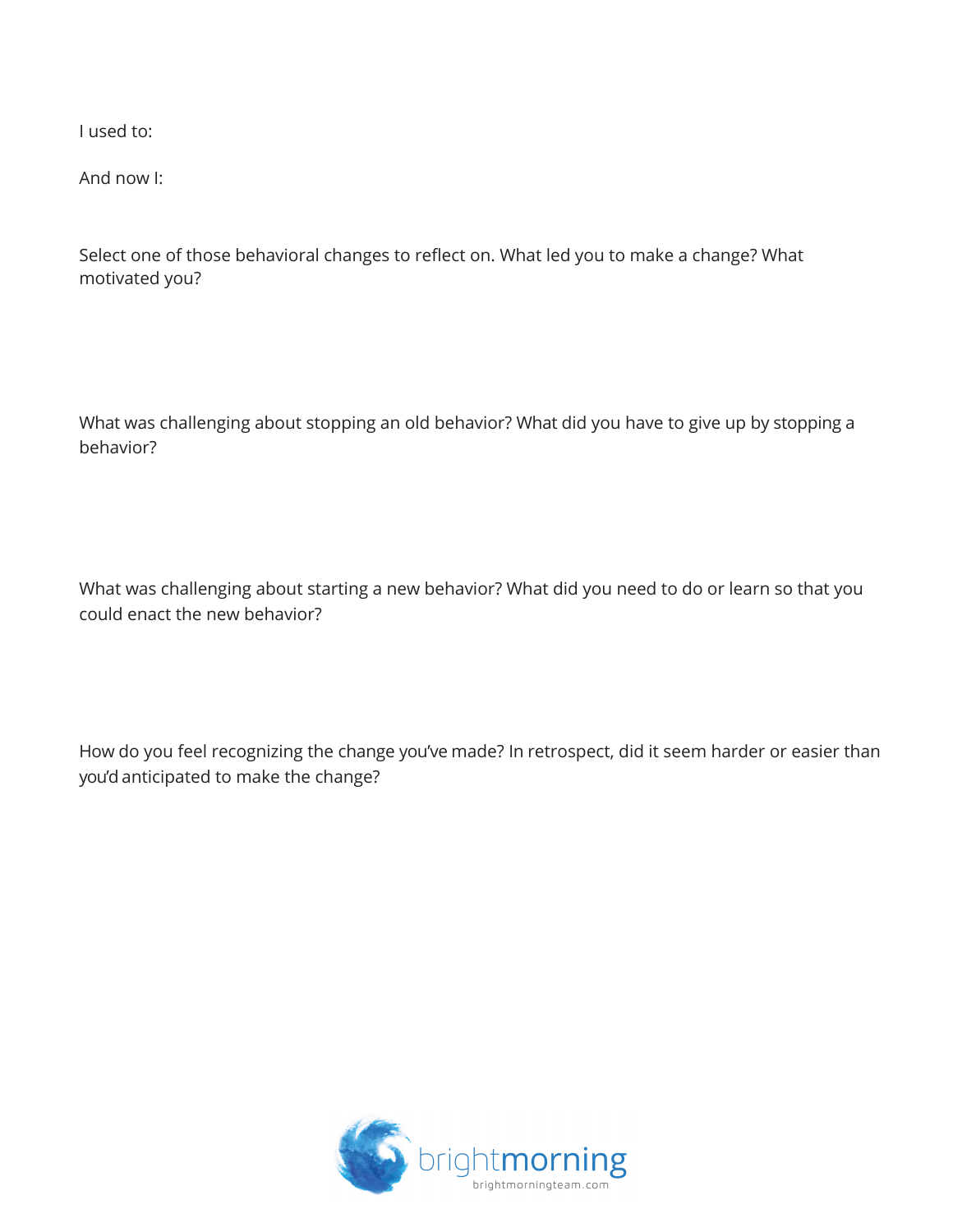I used to:

And now I:

Select one of those behavioral changes to reflect on. What led you to make a change? What motivated you?

What was challenging about stopping an old behavior? What did you have to give up by stopping a behavior?

What was challenging about starting a new behavior? What did you need to do or learn so that you could enact the new behavior?

How do you feel recognizing the change you've made? In retrospect, did it seem harder or easier than you'd anticipated to make the change?

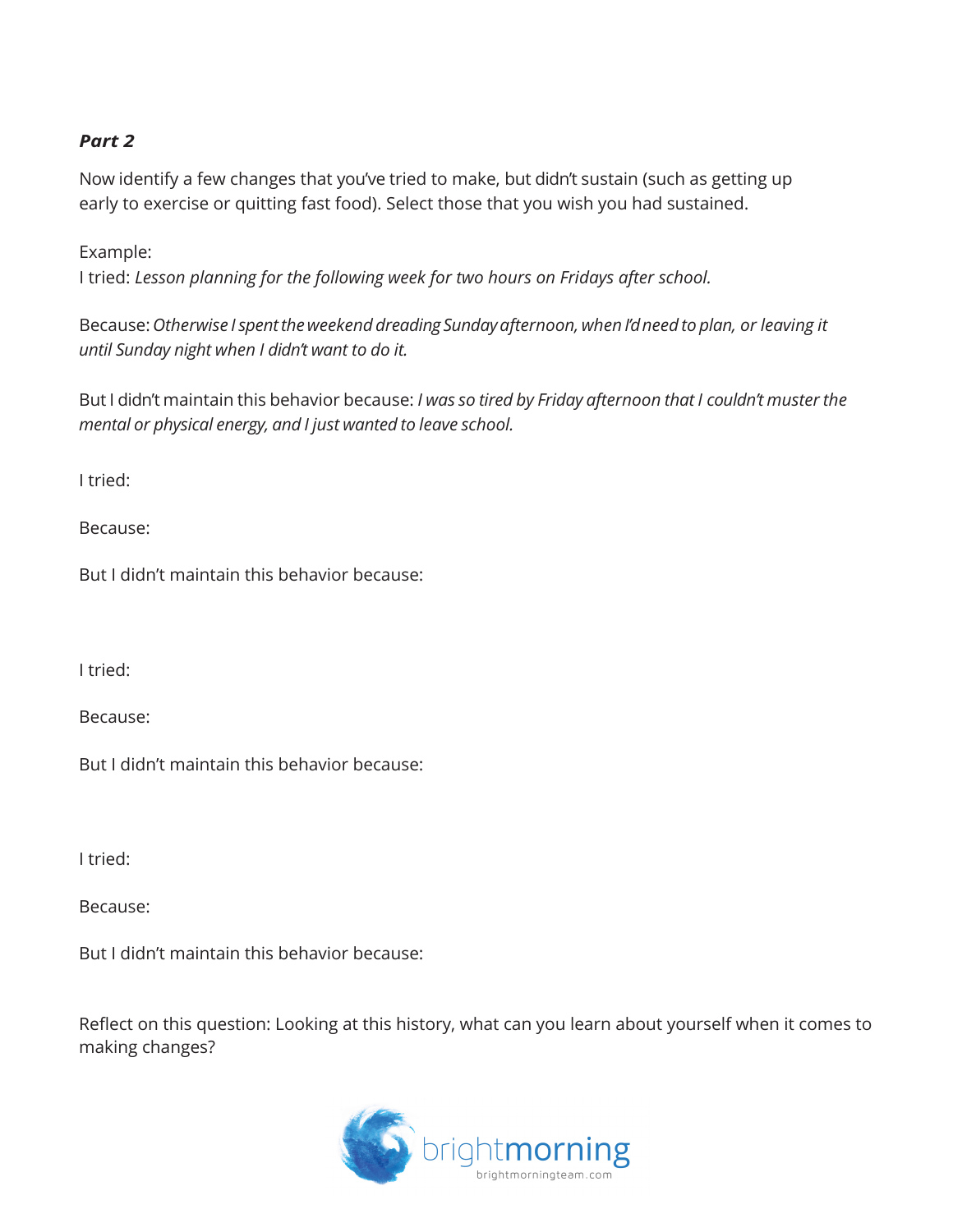## *Part 2*

Now identify a few changes that you've tried to make, but didn't sustain (such as getting up early to exercise or quitting fast food). Select those that you wish you had sustained.

Example: I tried: *Lesson planning for the following week for two hours on Fridays after school.*

Because: *Otherwise I spentthe weekend dreading Sundayafternoon, when I'dneed to plan, or leaving it until Sunday night when I didn't want to do it.*

But I didn't maintain this behavior because: *I was so tired by Friday afternoon that I couldn't muster the mental or physical energy, and I just wanted to leave school.*

I tried:

Because:

But I didn't maintain this behavior because:

I tried:

Because:

But I didn't maintain this behavior because:

I tried:

Because:

But I didn't maintain this behavior because:

Reflect on this question: Looking at this history, what can you learn about yourself when it comes to making changes?

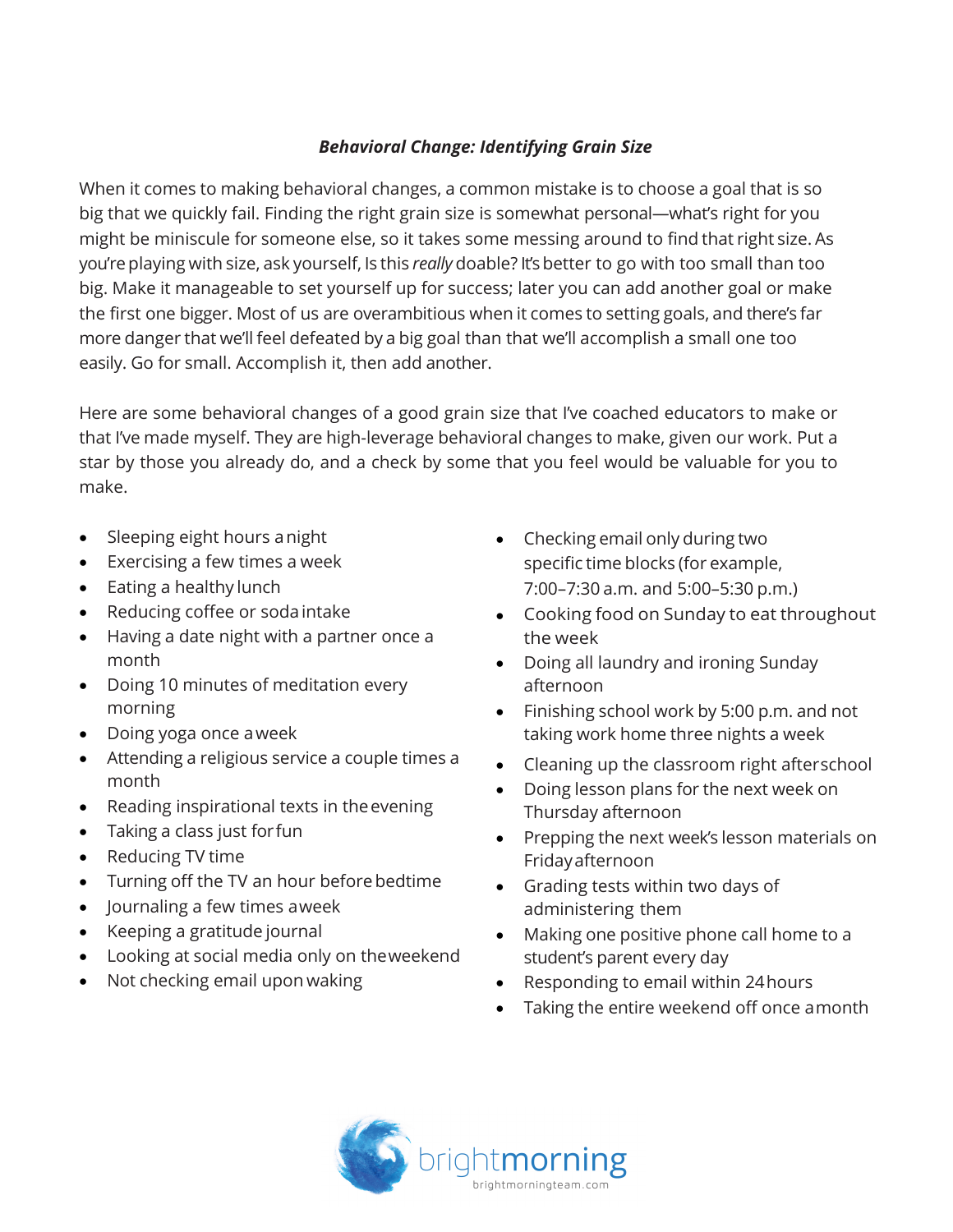## *Behavioral Change: Identifying Grain Size*

When it comes to making behavioral changes, a common mistake is to choose a goal that is so big that we quickly fail. Finding the right grain size is somewhat personal—what's right for you might be miniscule for someone else, so it takes some messing around to find that right size. As you'replaying with size, ask yourself, Is this *really* doable? It'sbetter to go with too small than too big. Make it manageable to set yourself up for success; later you can add another goal or make the first one bigger. Most of us are overambitious when it comes to setting goals, and there's far more danger that we'll feel defeated by a big goal than that we'll accomplish a small one too easily. Go for small. Accomplish it, then add another.

Here are some behavioral changes of a good grain size that I've coached educators to make or that I've made myself. They are high-leverage behavioral changes to make, given our work. Put a star by those you already do, and a check by some that you feel would be valuable for you to make.

- Sleeping eight hours anight
- Exercising a few times a week
- Eating a healthy lunch
- Reducing coffee or sodaintake
- Having a date night with a partner once a month
- Doing 10 minutes of meditation every morning
- Doing yoga once aweek
- Attending a religious service a couple times a month
- Reading inspirational texts in theevening
- Taking a class just for fun
- Reducing TV time
- Turning off the TV an hour before bedtime
- Journaling a few times aweek
- Keeping a gratitude journal
- Looking at social media only on theweekend
- Not checking email upon waking
- Checking email only during two specific time blocks (for example, 7:00–7:30 a.m. and 5:00–5:30 p.m.)
- Cooking food on Sunday to eat throughout the week
- Doing all laundry and ironing Sunday afternoon
- Finishing school work by 5:00 p.m. and not taking work home three nights a week
- Cleaning up the classroom right afterschool
- Doing lesson plans for the next week on Thursday afternoon
- Prepping the next week's lesson materials on Fridayafternoon
- Grading tests within two days of administering them
- Making one positive phone call home to a student's parent every day
- Responding to email within 24hours
- Taking the entire weekend off once amonth

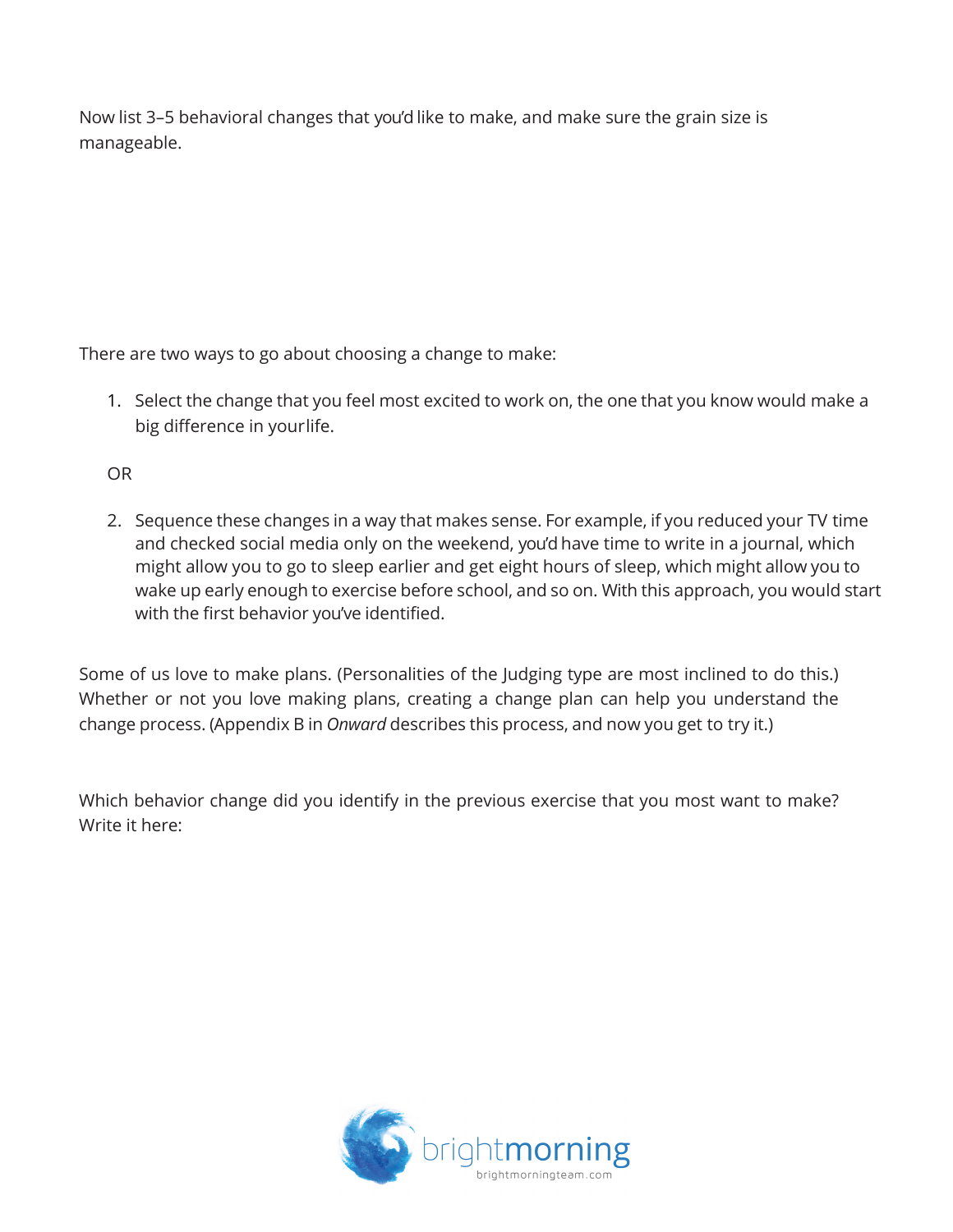Now list 3–5 behavioral changes that you'd like to make, and make sure the grain size is manageable.

There are two ways to go about choosing a change to make:

1. Select the change that you feel most excited to work on, the one that you know would make a big difference in yourlife.

OR

2. Sequence these changes in a way that makes sense. For example, if you reduced your TV time and checked social media only on the weekend, you'd have time to write in a journal, which might allow you to go to sleep earlier and get eight hours of sleep, which might allow you to wake up early enough to exercise before school, and so on. With this approach, you would start with the first behavior you've identified.

Some of us love to make plans. (Personalities of the Judging type are most inclined to do this.) Whether or not you love making plans, creating a change plan can help you understand the change process. (Appendix B in *Onward* describes this process, and now you get to try it.)

Which behavior change did you identify in the previous exercise that you most want to make? Write it here:

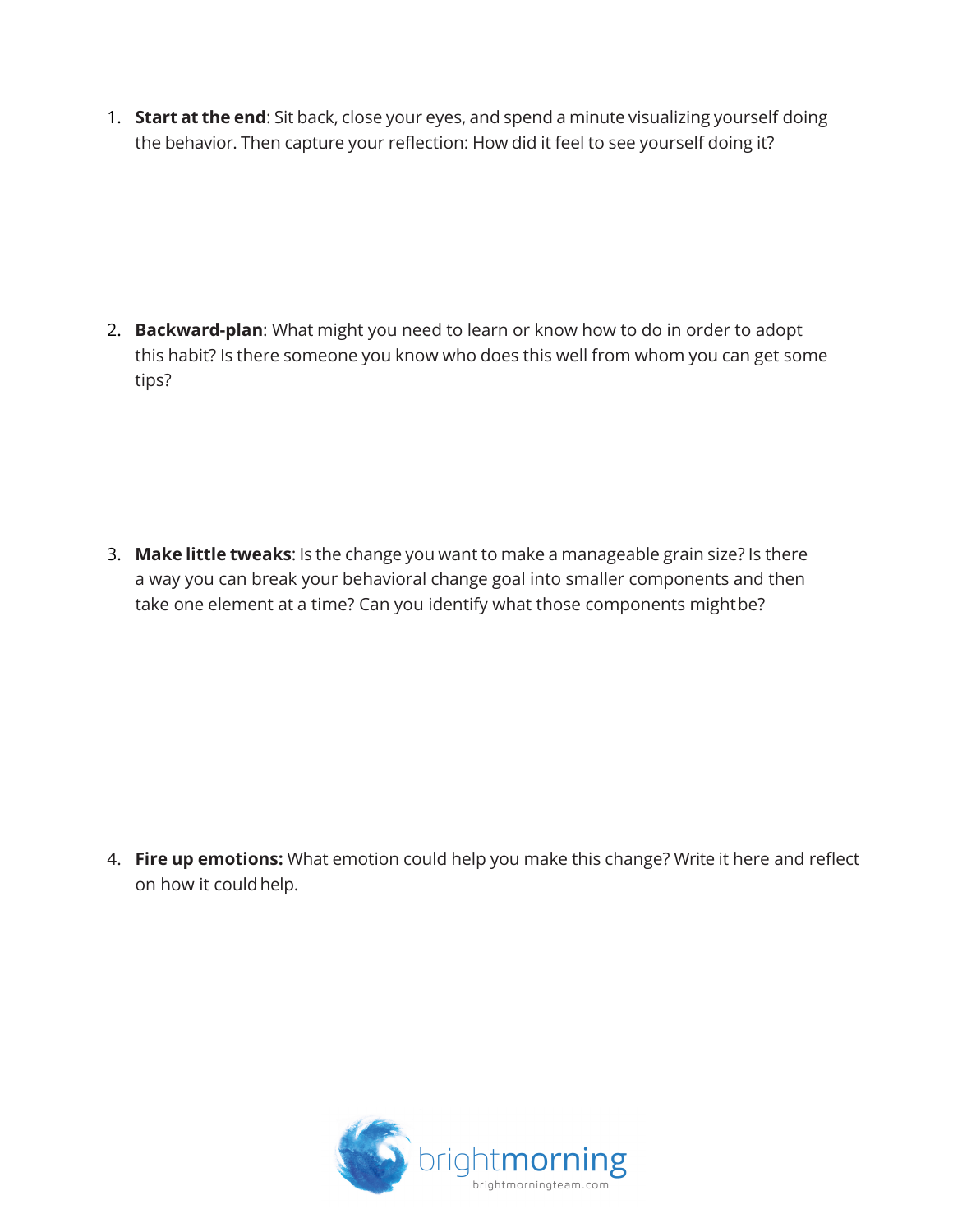1. **Start at the end**: Sit back, close your eyes, and spend a minute visualizing yourself doing the behavior. Then capture your reflection: How did it feel to see yourself doing it?

2. **Backward-plan**: What might you need to learn or know how to do in order to adopt this habit? Is there someone you know who does this well from whom you can get some tips?

3. **Make little tweaks**: Is the change you want to make a manageable grain size? Is there a way you can break your behavioral change goal into smaller components and then take one element at a time? Can you identify what those components mightbe?

4. **Fire up emotions:** What emotion could help you make this change? Write it here and reflect on how it could help.

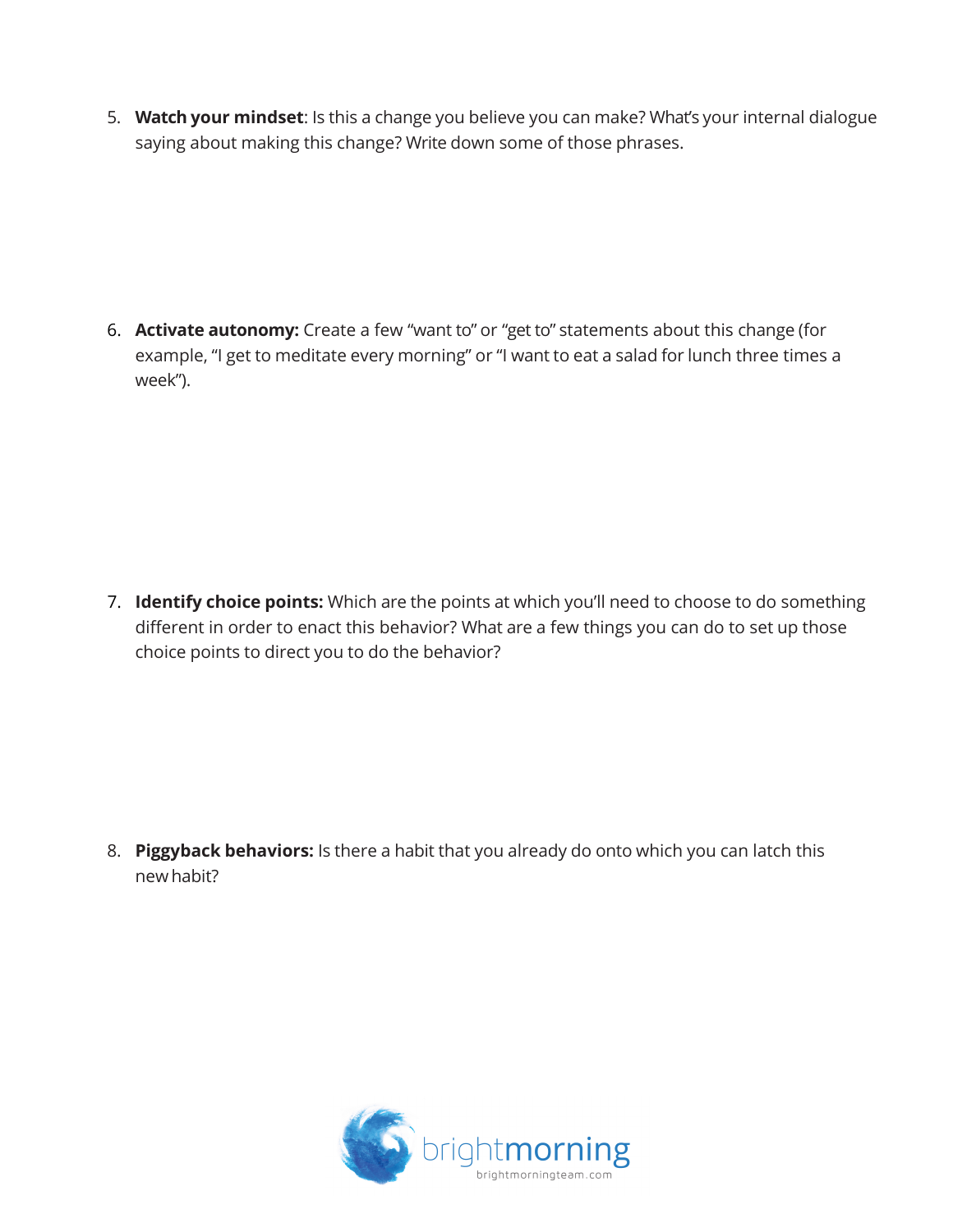5. **Watch your mindset**: Is this a change you believe you can make? What's your internal dialogue saying about making this change? Write down some of those phrases.

6. **Activate autonomy:** Create a few "want to" or "get to" statements about this change (for example, "I get to meditate every morning" or "I want to eat a salad for lunch three times a week").

7. **Identify choice points:** Which are the points at which you'll need to choose to do something different in order to enact this behavior? What are a few things you can do to set up those choice points to direct you to do the behavior?

8. **Piggyback behaviors:** Is there a habit that you already do onto which you can latch this new habit?